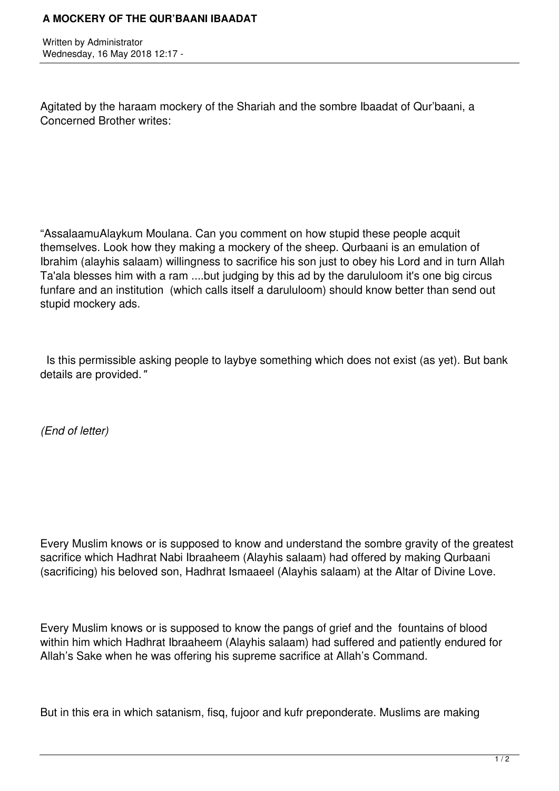## **A MOCKERY OF THE QUR'BAANI IBAADAT**

Written by Administrator Wednesday, 16 May 2018 12:17 -

Agitated by the haraam mockery of the Shariah and the sombre Ibaadat of Qur'baani, a Concerned Brother writes:

"AssalaamuAlaykum Moulana. Can you comment on how stupid these people acquit themselves. Look how they making a mockery of the sheep. Qurbaani is an emulation of Ibrahim (alayhis salaam) willingness to sacrifice his son just to obey his Lord and in turn Allah Ta'ala blesses him with a ram ....but judging by this ad by the darululoom it's one big circus funfare and an institution (which calls itself a darululoom) should know better than send out stupid mockery ads.

 Is this permissible asking people to laybye something which does not exist (as yet). But bank details are provided.*"*

*(End of letter)*

Every Muslim knows or is supposed to know and understand the sombre gravity of the greatest sacrifice which Hadhrat Nabi Ibraaheem (Alayhis salaam) had offered by making Qurbaani (sacrificing) his beloved son, Hadhrat Ismaaeel (Alayhis salaam) at the Altar of Divine Love.

Every Muslim knows or is supposed to know the pangs of grief and the fountains of blood within him which Hadhrat Ibraaheem (Alayhis salaam) had suffered and patiently endured for Allah's Sake when he was offering his supreme sacrifice at Allah's Command.

But in this era in which satanism, fisq, fujoor and kufr preponderate. Muslims are making